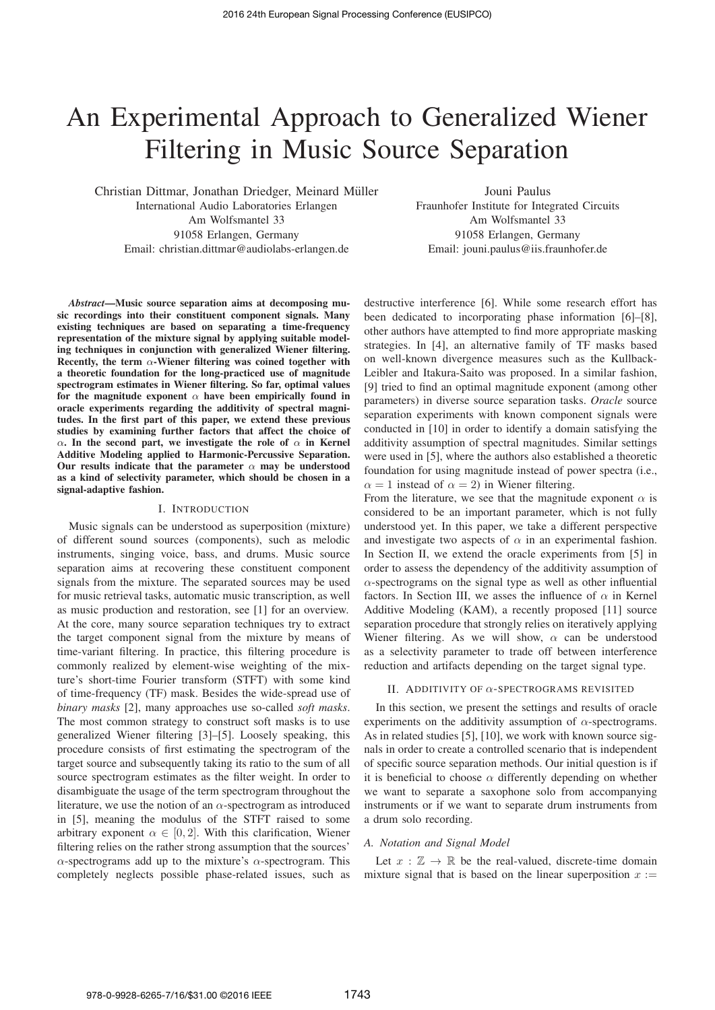# An Experimental Approach to Generalized Wiener Filtering in Music Source Separation

Christian Dittmar, Jonathan Driedger, Meinard Muller ¨ International Audio Laboratories Erlangen Am Wolfsmantel 33 91058 Erlangen, Germany Email: christian.dittmar@audiolabs-erlangen.de

Jouni Paulus Fraunhofer Institute for Integrated Circuits Am Wolfsmantel 33 91058 Erlangen, Germany Email: jouni.paulus@iis.fraunhofer.de

*Abstract*—Music source separation aims at decomposing music recordings into their constituent component signals. Many existing techniques are based on separating a time-frequency representation of the mixture signal by applying suitable modeling techniques in conjunction with generalized Wiener filtering. Recently, the term  $\alpha$ -Wiener filtering was coined together with a theoretic foundation for the long-practiced use of magnitude spectrogram estimates in Wiener filtering. So far, optimal values for the magnitude exponent  $\alpha$  have been empirically found in oracle experiments regarding the additivity of spectral magnitudes. In the first part of this paper, we extend these previous studies by examining further factors that affect the choice of  $\alpha$ . In the second part, we investigate the role of  $\alpha$  in Kernel Additive Modeling applied to Harmonic-Percussive Separation. Our results indicate that the parameter  $\alpha$  may be understood as a kind of selectivity parameter, which should be chosen in a signal-adaptive fashion.

#### I. INTRODUCTION

Music signals can be understood as superposition (mixture) of different sound sources (components), such as melodic instruments, singing voice, bass, and drums. Music source separation aims at recovering these constituent component signals from the mixture. The separated sources may be used for music retrieval tasks, automatic music transcription, as well as music production and restoration, see [1] for an overview. At the core, many source separation techniques try to extract the target component signal from the mixture by means of time-variant filtering. In practice, this filtering procedure is commonly realized by element-wise weighting of the mixture's short-time Fourier transform (STFT) with some kind of time-frequency (TF) mask. Besides the wide-spread use of *binary masks* [2], many approaches use so-called *soft masks*. The most common strategy to construct soft masks is to use generalized Wiener filtering [3]–[5]. Loosely speaking, this procedure consists of first estimating the spectrogram of the target source and subsequently taking its ratio to the sum of all source spectrogram estimates as the filter weight. In order to disambiguate the usage of the term spectrogram throughout the literature, we use the notion of an  $\alpha$ -spectrogram as introduced in [5], meaning the modulus of the STFT raised to some arbitrary exponent  $\alpha \in [0, 2]$ . With this clarification, Wiener filtering relies on the rather strong assumption that the sources'  $\alpha$ -spectrograms add up to the mixture's  $\alpha$ -spectrogram. This completely neglects possible phase-related issues, such as destructive interference [6]. While some research effort has been dedicated to incorporating phase information [6]–[8], other authors have attempted to find more appropriate masking strategies. In [4], an alternative family of TF masks based on well-known divergence measures such as the Kullback-Leibler and Itakura-Saito was proposed. In a similar fashion, [9] tried to find an optimal magnitude exponent (among other parameters) in diverse source separation tasks. *Oracle* source separation experiments with known component signals were conducted in [10] in order to identify a domain satisfying the additivity assumption of spectral magnitudes. Similar settings were used in [5], where the authors also established a theoretic foundation for using magnitude instead of power spectra (i.e.,  $\alpha = 1$  instead of  $\alpha = 2$ ) in Wiener filtering.

From the literature, we see that the magnitude exponent  $\alpha$  is considered to be an important parameter, which is not fully understood yet. In this paper, we take a different perspective and investigate two aspects of  $\alpha$  in an experimental fashion. In Section II, we extend the oracle experiments from [5] in order to assess the dependency of the additivity assumption of  $\alpha$ -spectrograms on the signal type as well as other influential factors. In Section III, we asses the influence of  $\alpha$  in Kernel Additive Modeling (KAM), a recently proposed [11] source separation procedure that strongly relies on iteratively applying Wiener filtering. As we will show,  $\alpha$  can be understood as a selectivity parameter to trade off between interference reduction and artifacts depending on the target signal type.

#### II. ADDITIVITY OF  $\alpha$ -SPECTROGRAMS REVISITED

In this section, we present the settings and results of oracle experiments on the additivity assumption of  $\alpha$ -spectrograms. As in related studies [5], [10], we work with known source signals in order to create a controlled scenario that is independent of specific source separation methods. Our initial question is if it is beneficial to choose  $\alpha$  differently depending on whether we want to separate a saxophone solo from accompanying instruments or if we want to separate drum instruments from a drum solo recording.

#### *A. Notation and Signal Model*

Let  $x : \mathbb{Z} \to \mathbb{R}$  be the real-valued, discrete-time domain mixture signal that is based on the linear superposition  $x :=$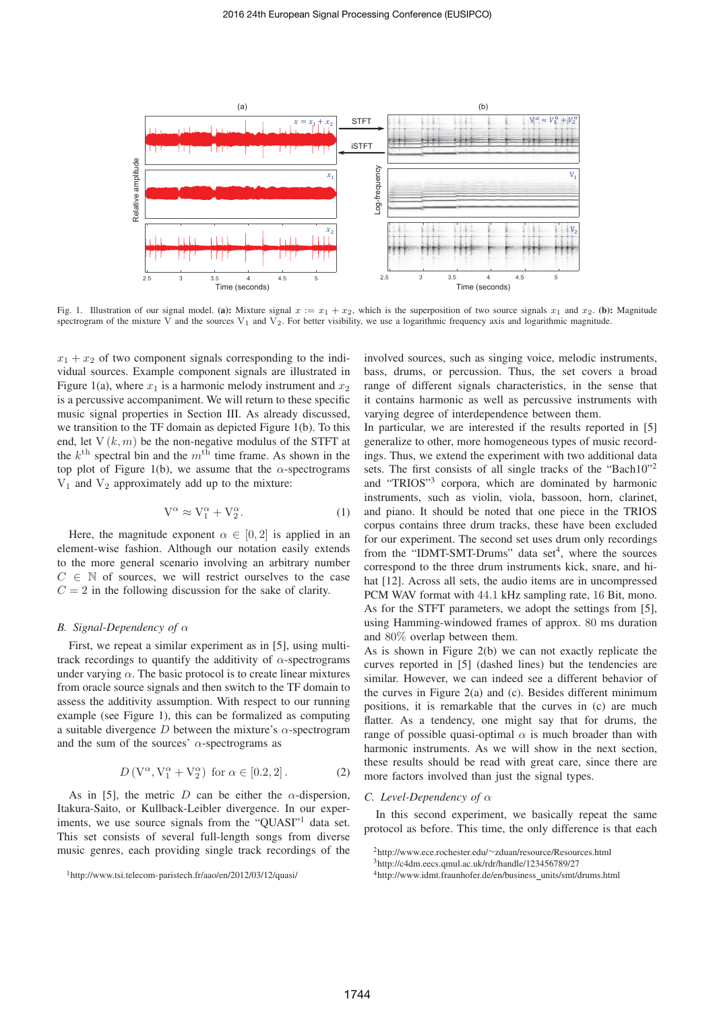

Fig. 1. Illustration of our signal model. (a): Mixture signal  $x := x_1 + x_2$ , which is the superposition of two source signals  $x_1$  and  $x_2$ . (b): Magnitude spectrogram of the mixture  $\vec{V}$  and the sources  $V_1$  and  $\vec{V_2}$ . For better visibility, we use a logarithmic frequency axis and logarithmic magnitude.

 $x_1 + x_2$  of two component signals corresponding to the individual sources. Example component signals are illustrated in Figure 1(a), where  $x_1$  is a harmonic melody instrument and  $x_2$ is a percussive accompaniment. We will return to these specific music signal properties in Section III. As already discussed, we transition to the TF domain as depicted Figure 1(b). To this end, let  $V(k, m)$  be the non-negative modulus of the STFT at the  $k^{\text{th}}$  spectral bin and the  $m^{\text{th}}$  time frame. As shown in the top plot of Figure 1(b), we assume that the  $\alpha$ -spectrograms  $V_1$  and  $V_2$  approximately add up to the mixture:

$$
V^{\alpha} \approx V_1^{\alpha} + V_2^{\alpha}.
$$
 (1)

Here, the magnitude exponent  $\alpha \in [0, 2]$  is applied in an element-wise fashion. Although our notation easily extends to the more general scenario involving an arbitrary number  $C \in \mathbb{N}$  of sources, we will restrict ourselves to the case  $C = 2$  in the following discussion for the sake of clarity.

### *B. Signal-Dependency of* α

First, we repeat a similar experiment as in [5], using multitrack recordings to quantify the additivity of  $\alpha$ -spectrograms under varying  $\alpha$ . The basic protocol is to create linear mixtures from oracle source signals and then switch to the TF domain to assess the additivity assumption. With respect to our running example (see Figure 1), this can be formalized as computing a suitable divergence D between the mixture's  $\alpha$ -spectrogram and the sum of the sources'  $\alpha$ -spectrograms as

$$
D\left(\mathcal{V}^{\alpha}, \mathcal{V}_1^{\alpha} + \mathcal{V}_2^{\alpha}\right) \text{ for } \alpha \in [0.2, 2]. \tag{2}
$$

As in [5], the metric D can be either the  $\alpha$ -dispersion, Itakura-Saito, or Kullback-Leibler divergence. In our experiments, we use source signals from the "QUASI"<sup>1</sup> data set. This set consists of several full-length songs from diverse music genres, each providing single track recordings of the involved sources, such as singing voice, melodic instruments, bass, drums, or percussion. Thus, the set covers a broad range of different signals characteristics, in the sense that it contains harmonic as well as percussive instruments with varying degree of interdependence between them.

In particular, we are interested if the results reported in [5] generalize to other, more homogeneous types of music recordings. Thus, we extend the experiment with two additional data sets. The first consists of all single tracks of the "Bach10"<sup>2</sup> and "TRIOS"3 corpora, which are dominated by harmonic instruments, such as violin, viola, bassoon, horn, clarinet, and piano. It should be noted that one piece in the TRIOS corpus contains three drum tracks, these have been excluded for our experiment. The second set uses drum only recordings from the "IDMT-SMT-Drums" data set<sup>4</sup>, where the sources correspond to the three drum instruments kick, snare, and hihat [12]. Across all sets, the audio items are in uncompressed PCM WAV format with 44.1 kHz sampling rate, 16 Bit, mono. As for the STFT parameters, we adopt the settings from [5], using Hamming-windowed frames of approx. 80 ms duration and 80% overlap between them.

As is shown in Figure 2(b) we can not exactly replicate the curves reported in [5] (dashed lines) but the tendencies are similar. However, we can indeed see a different behavior of the curves in Figure 2(a) and (c). Besides different minimum positions, it is remarkable that the curves in (c) are much flatter. As a tendency, one might say that for drums, the range of possible quasi-optimal  $\alpha$  is much broader than with harmonic instruments. As we will show in the next section, these results should be read with great care, since there are more factors involved than just the signal types.

## *C. Level-Dependency of* α

In this second experiment, we basically repeat the same protocol as before. This time, the only difference is that each

<sup>1</sup>http://www.tsi.telecom-paristech.fr/aao/en/2012/03/12/quasi/

<sup>2</sup>http://www.ece.rochester.edu/∼zduan/resource/Resources.html

<sup>3</sup>http://c4dm.eecs.qmul.ac.uk/rdr/handle/123456789/27

<sup>4</sup>http://www.idmt.fraunhofer.de/en/business units/smt/drums.html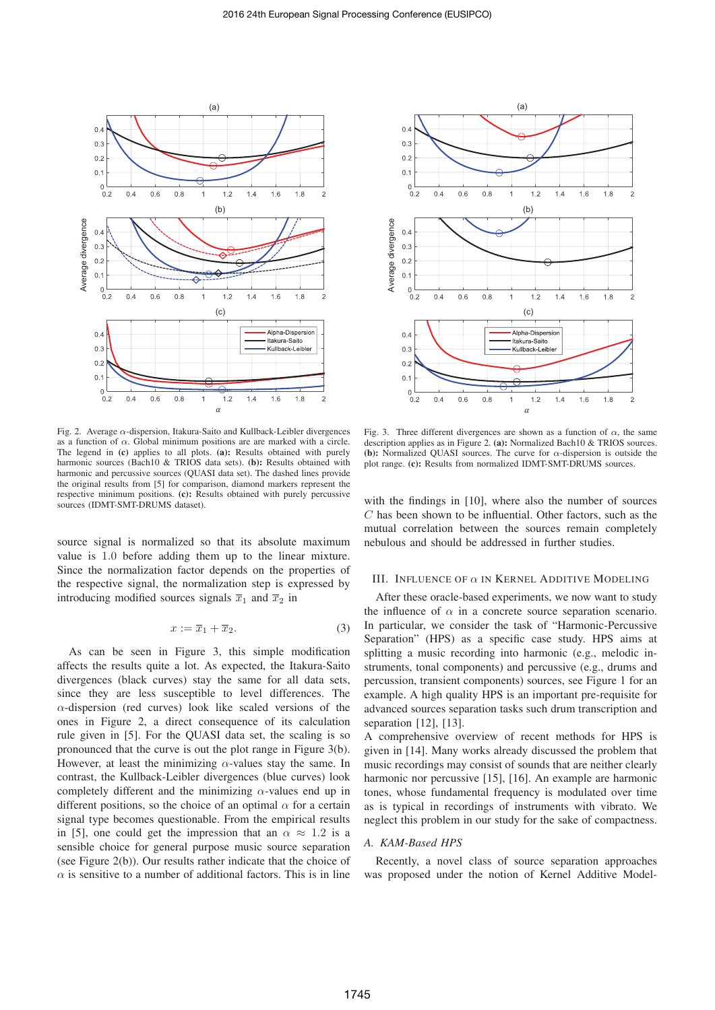

Fig. 2. Average  $\alpha$ -dispersion, Itakura-Saito and Kullback-Leibler divergences as a function of  $\alpha$ . Global minimum positions are are marked with a circle. The legend in (c) applies to all plots. (a): Results obtained with purely harmonic sources (Bach10 & TRIOS data sets). (b): Results obtained with harmonic and percussive sources (QUASI data set). The dashed lines provide the original results from [5] for comparison, diamond markers represent the respective minimum positions. (c): Results obtained with purely percussive sources (IDMT-SMT-DRUMS dataset).

source signal is normalized so that its absolute maximum value is 1.0 before adding them up to the linear mixture. Since the normalization factor depends on the properties of the respective signal, the normalization step is expressed by introducing modified sources signals  $\overline{x}_1$  and  $\overline{x}_2$  in

$$
x := \overline{x}_1 + \overline{x}_2. \tag{3}
$$

As can be seen in Figure 3, this simple modification affects the results quite a lot. As expected, the Itakura-Saito divergences (black curves) stay the same for all data sets, since they are less susceptible to level differences. The  $\alpha$ -dispersion (red curves) look like scaled versions of the ones in Figure 2, a direct consequence of its calculation rule given in [5]. For the QUASI data set, the scaling is so pronounced that the curve is out the plot range in Figure 3(b). However, at least the minimizing  $\alpha$ -values stay the same. In contrast, the Kullback-Leibler divergences (blue curves) look completely different and the minimizing  $\alpha$ -values end up in different positions, so the choice of an optimal  $\alpha$  for a certain signal type becomes questionable. From the empirical results in [5], one could get the impression that an  $\alpha \approx 1.2$  is a sensible choice for general purpose music source separation (see Figure 2(b)). Our results rather indicate that the choice of  $\alpha$  is sensitive to a number of additional factors. This is in line



Fig. 3. Three different divergences are shown as a function of  $\alpha$ , the same description applies as in Figure 2. (a): Normalized Bach10 & TRIOS sources. (b): Normalized QUASI sources. The curve for  $\alpha$ -dispersion is outside the plot range. (c): Results from normalized IDMT-SMT-DRUMS sources.

with the findings in [10], where also the number of sources  $C$  has been shown to be influential. Other factors, such as the mutual correlation between the sources remain completely nebulous and should be addressed in further studies.

#### III. INFLUENCE OF  $\alpha$  in KERNEL ADDITIVE MODELING

After these oracle-based experiments, we now want to study the influence of  $\alpha$  in a concrete source separation scenario. In particular, we consider the task of "Harmonic-Percussive Separation" (HPS) as a specific case study. HPS aims at splitting a music recording into harmonic (e.g., melodic instruments, tonal components) and percussive (e.g., drums and percussion, transient components) sources, see Figure 1 for an example. A high quality HPS is an important pre-requisite for advanced sources separation tasks such drum transcription and separation [12], [13].

A comprehensive overview of recent methods for HPS is given in [14]. Many works already discussed the problem that music recordings may consist of sounds that are neither clearly harmonic nor percussive [15], [16]. An example are harmonic tones, whose fundamental frequency is modulated over time as is typical in recordings of instruments with vibrato. We neglect this problem in our study for the sake of compactness.

#### *A. KAM-Based HPS*

Recently, a novel class of source separation approaches was proposed under the notion of Kernel Additive Model-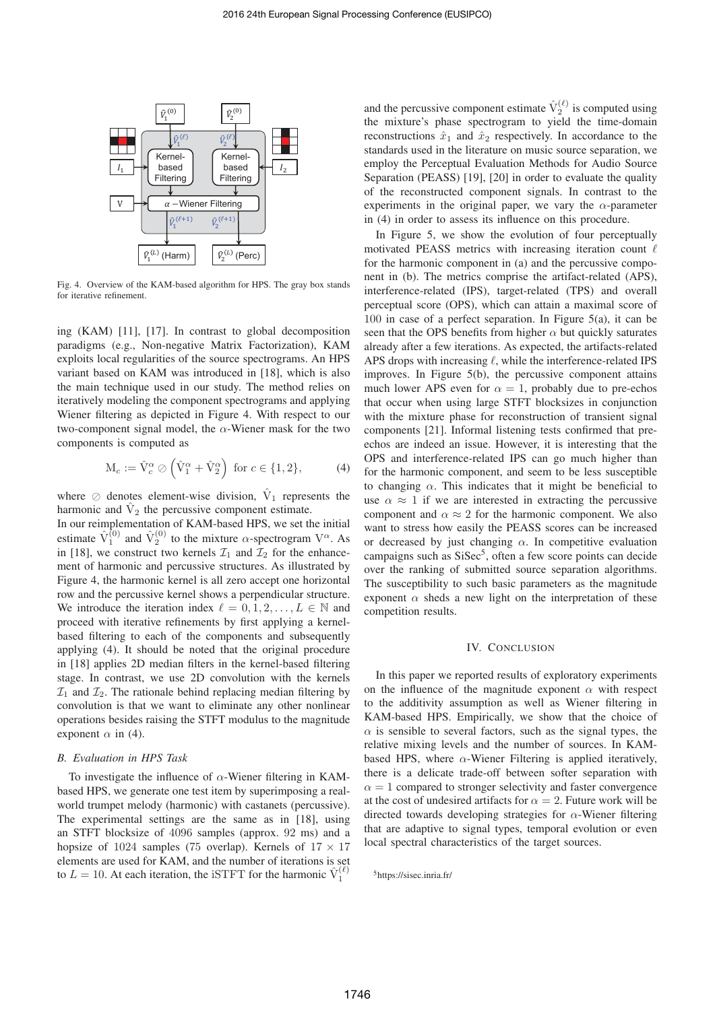

Fig. 4. Overview of the KAM-based algorithm for HPS. The gray box stands for iterative refinement.

ing (KAM) [11], [17]. In contrast to global decomposition paradigms (e.g., Non-negative Matrix Factorization), KAM exploits local regularities of the source spectrograms. An HPS variant based on KAM was introduced in [18], which is also the main technique used in our study. The method relies on iteratively modeling the component spectrograms and applying Wiener filtering as depicted in Figure 4. With respect to our two-component signal model, the  $\alpha$ -Wiener mask for the two components is computed as

$$
\mathcal{M}_c := \hat{\mathcal{V}}_c^{\alpha} \oslash (\hat{\mathcal{V}}_1^{\alpha} + \hat{\mathcal{V}}_2^{\alpha}) \text{ for } c \in \{1, 2\},\tag{4}
$$

where  $\oslash$  denotes element-wise division,  $\hat{V}_1$  represents the harmonic and  $\hat{V}_2$  the percussive component estimate.

In our reimplementation of KAM-based HPS, we set the initial estimate  $\hat{V}_1^{(0)}$  and  $\hat{V}_2^{(0)}$  to the mixture  $\alpha$ -spectrogram  $V^{\alpha}$ . As in [18], we construct two kernels  $\mathcal{I}_1$  and  $\mathcal{I}_2$  for the enhancement of harmonic and percussive structures. As illustrated by Figure 4, the harmonic kernel is all zero accept one horizontal row and the percussive kernel shows a perpendicular structure. We introduce the iteration index  $\ell = 0, 1, 2, \ldots, L \in \mathbb{N}$  and proceed with iterative refinements by first applying a kernelbased filtering to each of the components and subsequently applying (4). It should be noted that the original procedure in [18] applies 2D median filters in the kernel-based filtering stage. In contrast, we use 2D convolution with the kernels  $\mathcal{I}_1$  and  $\mathcal{I}_2$ . The rationale behind replacing median filtering by convolution is that we want to eliminate any other nonlinear operations besides raising the STFT modulus to the magnitude exponent  $\alpha$  in (4).

#### *B. Evaluation in HPS Task*

To investigate the influence of  $\alpha$ -Wiener filtering in KAMbased HPS, we generate one test item by superimposing a realworld trumpet melody (harmonic) with castanets (percussive). The experimental settings are the same as in [18], using an STFT blocksize of 4096 samples (approx. 92 ms) and a hopsize of 1024 samples (75 overlap). Kernels of  $17 \times 17$ elements are used for KAM, and the number of iterations is set to  $L = 10$ . At each iteration, the iSTFT for the harmonic  $\hat{V}_1^{(\ell)}$ 

and the percussive component estimate  $\hat{V}_2^{(\ell)}$  is computed using the mixture's phase spectrogram to yield the time-domain reconstructions  $\hat{x}_1$  and  $\hat{x}_2$  respectively. In accordance to the standards used in the literature on music source separation, we employ the Perceptual Evaluation Methods for Audio Source Separation (PEASS) [19], [20] in order to evaluate the quality of the reconstructed component signals. In contrast to the experiments in the original paper, we vary the  $\alpha$ -parameter in (4) in order to assess its influence on this procedure.

In Figure 5, we show the evolution of four perceptually motivated PEASS metrics with increasing iteration count  $\ell$ for the harmonic component in (a) and the percussive component in (b). The metrics comprise the artifact-related (APS), interference-related (IPS), target-related (TPS) and overall perceptual score (OPS), which can attain a maximal score of 100 in case of a perfect separation. In Figure 5(a), it can be seen that the OPS benefits from higher  $\alpha$  but quickly saturates already after a few iterations. As expected, the artifacts-related APS drops with increasing  $\ell$ , while the interference-related IPS improves. In Figure 5(b), the percussive component attains much lower APS even for  $\alpha = 1$ , probably due to pre-echos that occur when using large STFT blocksizes in conjunction with the mixture phase for reconstruction of transient signal components [21]. Informal listening tests confirmed that preechos are indeed an issue. However, it is interesting that the OPS and interference-related IPS can go much higher than for the harmonic component, and seem to be less susceptible to changing  $\alpha$ . This indicates that it might be beneficial to use  $\alpha \approx 1$  if we are interested in extracting the percussive component and  $\alpha \approx 2$  for the harmonic component. We also want to stress how easily the PEASS scores can be increased or decreased by just changing  $\alpha$ . In competitive evaluation campaigns such as SiSec<sup>5</sup>, often a few score points can decide over the ranking of submitted source separation algorithms. The susceptibility to such basic parameters as the magnitude exponent  $\alpha$  sheds a new light on the interpretation of these competition results.

#### IV. CONCLUSION

In this paper we reported results of exploratory experiments on the influence of the magnitude exponent  $\alpha$  with respect to the additivity assumption as well as Wiener filtering in KAM-based HPS. Empirically, we show that the choice of  $\alpha$  is sensible to several factors, such as the signal types, the relative mixing levels and the number of sources. In KAMbased HPS, where  $\alpha$ -Wiener Filtering is applied iteratively, there is a delicate trade-off between softer separation with  $\alpha = 1$  compared to stronger selectivity and faster convergence at the cost of undesired artifacts for  $\alpha = 2$ . Future work will be directed towards developing strategies for  $\alpha$ -Wiener filtering that are adaptive to signal types, temporal evolution or even local spectral characteristics of the target sources.

<sup>5</sup>https://sisec.inria.fr/